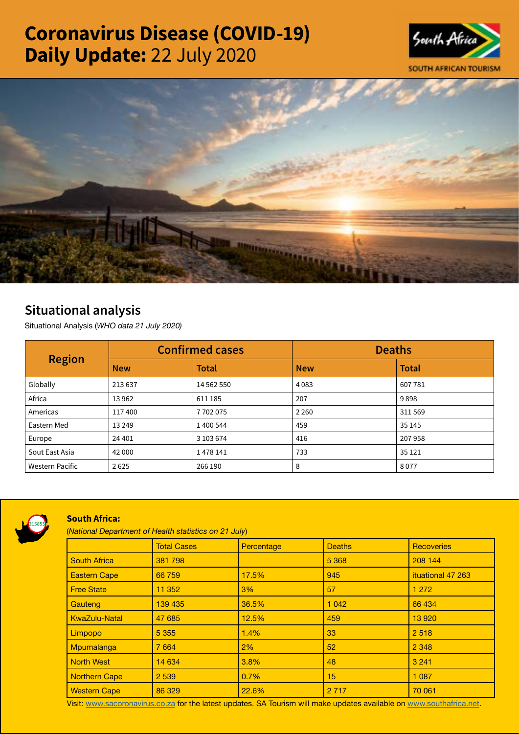# Coronavirus Disease (COVID-19) Daily Update: 22 July 2020





## Situational analysis

Situational Analysis (*WHO data 21 July 2020)*

| <b>Region</b>   | <b>Confirmed cases</b> |              | <b>Deaths</b> |              |
|-----------------|------------------------|--------------|---------------|--------------|
|                 | <b>New</b>             | <b>Total</b> | <b>New</b>    | <b>Total</b> |
| Globally        | 213 637                | 14 562 550   | 4083          | 607781       |
| Africa          | 13962                  | 611 185      | 207           | 9898         |
| Americas        | 117400                 | 7702075      | 2 2 6 0       | 311 569      |
| Eastern Med     | 13 2 49                | 1 400 544    | 459           | 35 145       |
| Europe          | 24 401                 | 3 103 674    | 416           | 207958       |
| Sout East Asia  | 42 000                 | 1478141      | 733           | 35 1 21      |
| Western Pacific | 2625                   | 266 190      | 8             | 8077         |



### South Africa:

(*National Department of Health statistics on 21 July*)

|                      | <b>Total Cases</b> | Percentage | <b>Deaths</b> | <b>Recoveries</b> |
|----------------------|--------------------|------------|---------------|-------------------|
| <b>South Africa</b>  | 381 798            |            | 5 3 6 8       | 208 144           |
| <b>Eastern Cape</b>  | 66 759             | 17.5%      | 945           | ituational 47 263 |
| <b>Free State</b>    | 11 352             | 3%         | 57            | 1 2 7 2           |
| Gauteng              | 139 435            | 36.5%      | 1 0 4 2       | 66 434            |
| <b>KwaZulu-Natal</b> | 47 685             | 12.5%      | 459           | 13 9 20           |
| Limpopo              | 5 3 5 5            | 1.4%       | 33            | 2 5 1 8           |
| Mpumalanga           | 7 6 6 4            | 2%         | 52            | 2 3 4 8           |
| <b>North West</b>    | 14 634             | 3.8%       | 48            | 3 2 4 1           |
| <b>Northern Cape</b> | 2 5 3 9            | 0.7%       | 15            | 1 0 8 7           |
| <b>Western Cape</b>  | 86 329             | 22.6%      | 2 7 1 7       | 70 061            |

Visit: [www.sacoronavirus.co.za](http://www.sacoronavirus.co.za) for the latest updates. SA Tourism will make updates available on [www.southafrica.net.](http://www.southafrica.net)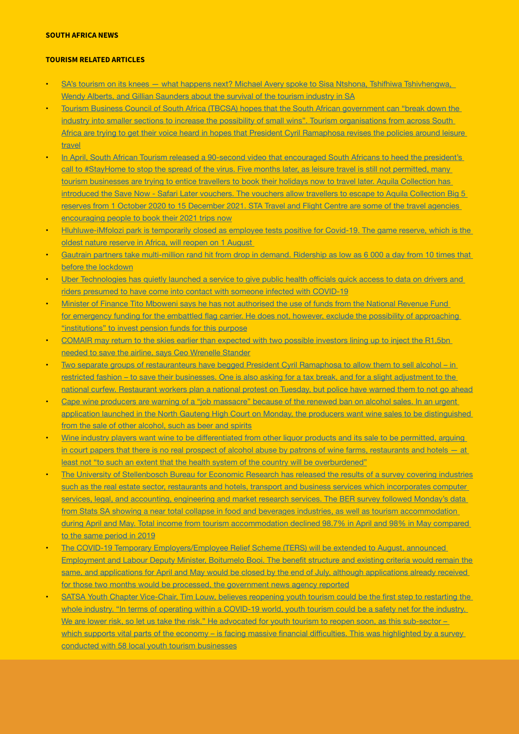#### SOUTH AFRICA NEWS

#### TOURISM RELATED ARTICLES

- SA's tourism on its knees what happens next? Michael Avery spoke to Sisa Ntshona, Tshifhiwa Tshivhengwa, [Wendy Alberts, and Gillian Saunders about the survival of the tourism industry in SA](https://www.businesslive.co.za/bd/national/2020-07-20-watch-sas-tourism-on-its-knees-what-happens-next/)
- Tourism Business Council of South Africa (TBCSA) hopes that the South African government can "break down the industry into smaller sections to increase the possibility of small wins". Tourism organisations from across South [Africa are trying to get their voice heard in hopes that President Cyril Ramaphosa revises the policies around leisure](https://www.iol.co.za/travel/travel-news/tbcsa-to-government-break-down-industry-into-smaller-sections-to-increase-possibility-of-small-wins-9f53c87b-b61f-4234-80ac-0b98a138c2c2)  [travel](https://www.iol.co.za/travel/travel-news/tbcsa-to-government-break-down-industry-into-smaller-sections-to-increase-possibility-of-small-wins-9f53c87b-b61f-4234-80ac-0b98a138c2c2)
- In April, South African Tourism released a 90-second video that encouraged South Africans to heed the president's call to #StayHome to stop the spread of the virus. Five months later, as leisure travel is still not permitted, many [tourism businesses are trying to entice travellers to book their holidays now to travel later. Aquila Collection has](https://www.iol.co.za/travel/south-africa/tourism-businesses-in-sa-are-using-travel-later-to-save-dwindling-business-57cd7c55-c547-432c-a650-a262dbb436e1)  [introduced the Save Now - Safari Later vouchers. The vouchers allow travellers to escape to Aquila Collection Big 5](https://www.iol.co.za/travel/south-africa/tourism-businesses-in-sa-are-using-travel-later-to-save-dwindling-business-57cd7c55-c547-432c-a650-a262dbb436e1)  [reserves from 1 October 2020 to 15 December 2021. STA Travel and Flight Centre are some of the travel agencies](https://www.iol.co.za/travel/south-africa/tourism-businesses-in-sa-are-using-travel-later-to-save-dwindling-business-57cd7c55-c547-432c-a650-a262dbb436e1)  [encouraging people to book their 2021 trips now](https://www.iol.co.za/travel/south-africa/tourism-businesses-in-sa-are-using-travel-later-to-save-dwindling-business-57cd7c55-c547-432c-a650-a262dbb436e1)
- Hluhluwe-iMfolozi park is temporarily closed as employee tests positive for Covid-19. The game reserve, which is the [oldest nature reserve in Africa, will reopen on 1 August](https://www.timeslive.co.za/news/south-africa/2020-07-21-hluhluwe-imfolozi-park-temporarily-closed-as-employee-tests-positive-for-covid-19/)
- Gautrain partners take multi-million rand hit from drop in demand. Ridership as low as 6 000 a day from 10 times that [before the lockdown](https://www.moneyweb.co.za/news/south-africa/gautrain-partners-take-multi-million-rand-hit-from-drop-in-demand/)
- Uber [Technologies](https://www.news24.com/fin24/companies/watch-uber-offers-covid-19-contact-tracing-service-20200721) has quietly launched a service to give public health officials quick access to data on drivers and [riders presumed to have come into contact with someone infected with COVID-19](https://www.news24.com/fin24/companies/watch-uber-offers-covid-19-contact-tracing-service-20200721)
- Minister of Finance Tito Mboweni says he has not authorised the use of funds from the National Revenue Fund for emergency funding for the embattled flag carrier. He does not, however, exclude the possibility of [approaching](https://www.news24.com/fin24/companies/mboweni-swears-no-decision-on-govt-bailout-of-saa-but-potential-of-pension-funds-to-the-rescue-20200721) ["institutions" to invest pension funds for this purpose](https://www.news24.com/fin24/companies/mboweni-swears-no-decision-on-govt-bailout-of-saa-but-potential-of-pension-funds-to-the-rescue-20200721)
- COMAIR may return to the skies earlier than expected with two possible investors lining up to inject the R1,5bn [needed to save the airline, says Ceo Wrenelle Stander](https://www.travelnews.co.za/article/comair-may-return-sooner-planned)
- Two separate groups of restauranteurs have begged President Cyril Ramaphosa to allow them to sell alcohol in [restricted fashion – to save their businesses. One is also asking for a tax break, and for a slight adjustment to the](https://www.businessinsider.co.za/restaurants-want-to-serve-alcohol-again-heres-what-they-propose-2020-7)  [national curfew. Restaurant workers plan a national protest on Tuesday, but police have warned them to not go ahead](https://www.businessinsider.co.za/restaurants-want-to-serve-alcohol-again-heres-what-they-propose-2020-7)
- Cape wine producers are warning of a "job massacre" because of the renewed ban on alcohol sales. In an urgent [application launched in the North Gauteng High Court on Monday, the producers want wine sales to be distinguished](https://select.timeslive.co.za/news/2020-07-22-want-a-wine-win-situation-separate-us-from-beer-and-spirits/)  [from the sale of other alcohol, such as beer and spirits](https://select.timeslive.co.za/news/2020-07-22-want-a-wine-win-situation-separate-us-from-beer-and-spirits/)
- Wine industry players want wine to be [differentiated](https://www.businesslive.co.za/bd/national/2020-07-21-wine-farmers-turn-to-court-for-relief-from-alcohol-ban/) from other liquor products and its sale to be permitted, arguing [in court papers that there is no real prospect of alcohol abuse by patrons of wine farms, restaurants and hotels — at](https://www.businesslive.co.za/bd/national/2020-07-21-wine-farmers-turn-to-court-for-relief-from-alcohol-ban/)  [least not "to such an extent that the health system of the country will be overburdened"](https://www.businesslive.co.za/bd/national/2020-07-21-wine-farmers-turn-to-court-for-relief-from-alcohol-ban/)
- The University of Stellenbosch Bureau for Economic Research has released the results of a survey covering industries such as the real estate sector, restaurants and hotels, transport and business services which incorporates computer services, legal, and accounting, engineering and market research services. The BER survey followed Monday's data from Stats SA showing a near total collapse in food and beverages industries, as well as tourism accommodation [during April and May. Total income from tourism accommodation declined 98.7% in April and 98% in May compared](https://www.businesslive.co.za/bd/economy/2020-07-22-shock-new-figures-lay-bare-sas-plight/)  [to the same period in 2019](https://www.businesslive.co.za/bd/economy/2020-07-22-shock-new-figures-lay-bare-sas-plight/)
- The COVID-19 Temporary Employers/Employee Relief Scheme (TERS) will be extended to August, announced [Employment](https://www.tourismupdate.co.za/article/uif-ters-relief-extended-august) and Labour Deputy Minister, Boitumelo Booi. The benefit structure and existing criteria would remain the [same, and applications for April and May would be closed by the end of July, although applications already received](https://www.tourismupdate.co.za/article/uif-ters-relief-extended-august)  [for those two months would be processed, the government news agency reported](https://www.tourismupdate.co.za/article/uif-ters-relief-extended-august)
- SATSA Youth Chapter [Vice-Chair,](https://www.tourismupdate.co.za/article/youth-tourism-safety-net-industry) Tim Louw, believes reopening youth tourism could be the first step to restarting the whole industry. "In terms of operating within a COVID-19 world, youth tourism could be a safety net for the industry. We are lower risk, so let us take the risk." He advocated for youth tourism to reopen soon, as this sub-sector – which supports vital parts of the economy – is facing massive financial difficulties. This was [highlighted](https://www.tourismupdate.co.za/article/youth-tourism-safety-net-industry) by a survey [conducted with 58 local youth tourism businesses](https://www.tourismupdate.co.za/article/youth-tourism-safety-net-industry)